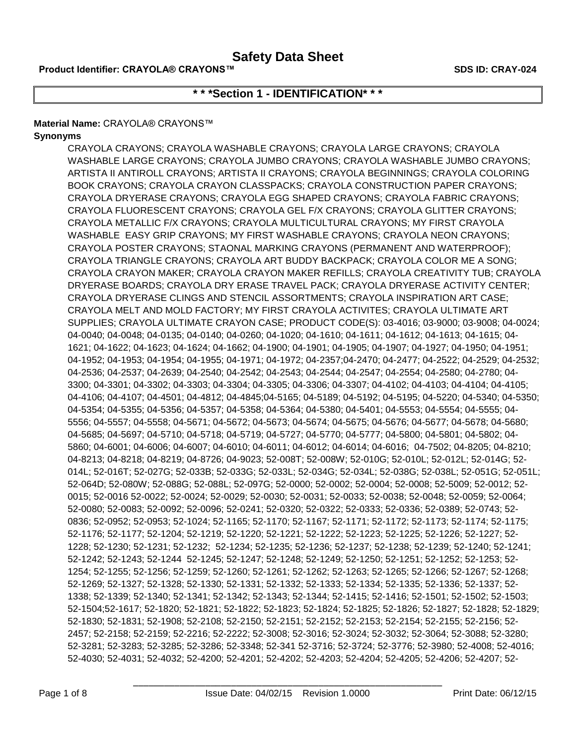# **\* \* \*Section 1 - IDENTIFICATION\* \* \***

### **Material Name:** CRAYOLA® CRAYONS™

### **Synonyms**

CRAYOLA CRAYONS; CRAYOLA WASHABLE CRAYONS; CRAYOLA LARGE CRAYONS; CRAYOLA WASHABLE LARGE CRAYONS; CRAYOLA JUMBO CRAYONS; CRAYOLA WASHABLE JUMBO CRAYONS; ARTISTA II ANTIROLL CRAYONS; ARTISTA II CRAYONS; CRAYOLA BEGINNINGS; CRAYOLA COLORING BOOK CRAYONS; CRAYOLA CRAYON CLASSPACKS; CRAYOLA CONSTRUCTION PAPER CRAYONS; CRAYOLA DRYERASE CRAYONS; CRAYOLA EGG SHAPED CRAYONS; CRAYOLA FABRIC CRAYONS; CRAYOLA FLUORESCENT CRAYONS; CRAYOLA GEL F/X CRAYONS; CRAYOLA GLITTER CRAYONS; CRAYOLA METALLIC F/X CRAYONS; CRAYOLA MULTICULTURAL CRAYONS; MY FIRST CRAYOLA WASHABLE EASY GRIP CRAYONS; MY FIRST WASHABLE CRAYONS; CRAYOLA NEON CRAYONS; CRAYOLA POSTER CRAYONS; STAONAL MARKING CRAYONS (PERMANENT AND WATERPROOF); CRAYOLA TRIANGLE CRAYONS; CRAYOLA ART BUDDY BACKPACK; CRAYOLA COLOR ME A SONG; CRAYOLA CRAYON MAKER; CRAYOLA CRAYON MAKER REFILLS; CRAYOLA CREATIVITY TUB; CRAYOLA DRYERASE BOARDS; CRAYOLA DRY ERASE TRAVEL PACK; CRAYOLA DRYERASE ACTIVITY CENTER; CRAYOLA DRYERASE CLINGS AND STENCIL ASSORTMENTS; CRAYOLA INSPIRATION ART CASE; CRAYOLA MELT AND MOLD FACTORY; MY FIRST CRAYOLA ACTIVITES; CRAYOLA ULTIMATE ART SUPPLIES; CRAYOLA ULTIMATE CRAYON CASE; PRODUCT CODE(S): 03-4016; 03-9000; 03-9008; 04-0024; 04-0040; 04-0048; 04-0135; 04-0140; 04-0260; 04-1020; 04-1610; 04-1611; 04-1612; 04-1613; 04-1615; 04- 1621; 04-1622; 04-1623; 04-1624; 04-1662; 04-1900; 04-1901; 04-1905; 04-1907; 04-1927; 04-1950; 04-1951; 04-1952; 04-1953; 04-1954; 04-1955; 04-1971; 04-1972; 04-2357;04-2470; 04-2477; 04-2522; 04-2529; 04-2532; 04-2536; 04-2537; 04-2639; 04-2540; 04-2542; 04-2543; 04-2544; 04-2547; 04-2554; 04-2580; 04-2780; 04- 3300; 04-3301; 04-3302; 04-3303; 04-3304; 04-3305; 04-3306; 04-3307; 04-4102; 04-4103; 04-4104; 04-4105; 04-4106; 04-4107; 04-4501; 04-4812; 04-4845;04-5165; 04-5189; 04-5192; 04-5195; 04-5220; 04-5340; 04-5350; 04-5354; 04-5355; 04-5356; 04-5357; 04-5358; 04-5364; 04-5380; 04-5401; 04-5553; 04-5554; 04-5555; 04- 5556; 04-5557; 04-5558; 04-5671; 04-5672; 04-5673; 04-5674; 04-5675; 04-5676; 04-5677; 04-5678; 04-5680; 04-5685; 04-5697; 04-5710; 04-5718; 04-5719; 04-5727; 04-5770; 04-5777; 04-5800; 04-5801; 04-5802; 04- 5860; 04-6001; 04-6006; 04-6007; 04-6010; 04-6011; 04-6012; 04-6014; 04-6016; 04-7502; 04-8205; 04-8210; 04-8213; 04-8218; 04-8219; 04-8726; 04-9023; 52-008T; 52-008W; 52-010G; 52-010L; 52-012L; 52-014G; 52- 014L; 52-016T; 52-027G; 52-033B; 52-033G; 52-033L; 52-034G; 52-034L; 52-038G; 52-038L; 52-051G; 52-051L; 52-064D; 52-080W; 52-088G; 52-088L; 52-097G; 52-0000; 52-0002; 52-0004; 52-0008; 52-5009; 52-0012; 52- 0015; 52-0016 52-0022; 52-0024; 52-0029; 52-0030; 52-0031; 52-0033; 52-0038; 52-0048; 52-0059; 52-0064; 52-0080; 52-0083; 52-0092; 52-0096; 52-0241; 52-0320; 52-0322; 52-0333; 52-0336; 52-0389; 52-0743; 52- 0836; 52-0952; 52-0953; 52-1024; 52-1165; 52-1170; 52-1167; 52-1171; 52-1172; 52-1173; 52-1174; 52-1175; 52-1176; 52-1177; 52-1204; 52-1219; 52-1220; 52-1221; 52-1222; 52-1223; 52-1225; 52-1226; 52-1227; 52- 1228; 52-1230; 52-1231; 52-1232; 52-1234; 52-1235; 52-1236; 52-1237; 52-1238; 52-1239; 52-1240; 52-1241; 52-1242; 52-1243; 52-1244 52-1245; 52-1247; 52-1248; 52-1249; 52-1250; 52-1251; 52-1252; 52-1253; 52- 1254; 52-1255; 52-1256; 52-1259; 52-1260; 52-1261; 52-1262; 52-1263; 52-1265; 52-1266; 52-1267; 52-1268; 52-1269; 52-1327; 52-1328; 52-1330; 52-1331; 52-1332; 52-1333; 52-1334; 52-1335; 52-1336; 52-1337; 52- 1338; 52-1339; 52-1340; 52-1341; 52-1342; 52-1343; 52-1344; 52-1415; 52-1416; 52-1501; 52-1502; 52-1503; 52-1504;52-1617; 52-1820; 52-1821; 52-1822; 52-1823; 52-1824; 52-1825; 52-1826; 52-1827; 52-1828; 52-1829; 52-1830; 52-1831; 52-1908; 52-2108; 52-2150; 52-2151; 52-2152; 52-2153; 52-2154; 52-2155; 52-2156; 52- 2457; 52-2158; 52-2159; 52-2216; 52-2222; 52-3008; 52-3016; 52-3024; 52-3032; 52-3064; 52-3088; 52-3280; 52-3281; 52-3283; 52-3285; 52-3286; 52-3348; 52-341 52-3716; 52-3724; 52-3776; 52-3980; 52-4008; 52-4016; 52-4030; 52-4031; 52-4032; 52-4200; 52-4201; 52-4202; 52-4203; 52-4204; 52-4205; 52-4206; 52-4207; 52-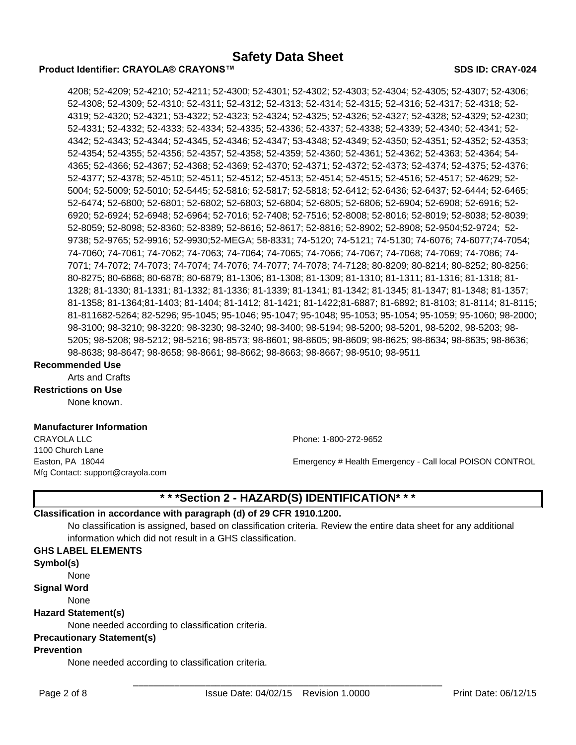#### **Product Identifier: CRAYOLA® CRAYONS™ SDS ID: CRAY-024**

4208; 52-4209; 52-4210; 52-4211; 52-4300; 52-4301; 52-4302; 52-4303; 52-4304; 52-4305; 52-4307; 52-4306; 52-4308; 52-4309; 52-4310; 52-4311; 52-4312; 52-4313; 52-4314; 52-4315; 52-4316; 52-4317; 52-4318; 52- 4319; 52-4320; 52-4321; 53-4322; 52-4323; 52-4324; 52-4325; 52-4326; 52-4327; 52-4328; 52-4329; 52-4230; 52-4331; 52-4332; 52-4333; 52-4334; 52-4335; 52-4336; 52-4337; 52-4338; 52-4339; 52-4340; 52-4341; 52- 4342; 52-4343; 52-4344; 52-4345, 52-4346; 52-4347; 53-4348; 52-4349; 52-4350; 52-4351; 52-4352; 52-4353; 52-4354; 52-4355; 52-4356; 52-4357; 52-4358; 52-4359; 52-4360; 52-4361; 52-4362; 52-4363; 52-4364; 54- 4365; 52-4366; 52-4367; 52-4368; 52-4369; 52-4370; 52-4371; 52-4372; 52-4373; 52-4374; 52-4375; 52-4376; 52-4377; 52-4378; 52-4510; 52-4511; 52-4512; 52-4513; 52-4514; 52-4515; 52-4516; 52-4517; 52-4629; 52- 5004; 52-5009; 52-5010; 52-5445; 52-5816; 52-5817; 52-5818; 52-6412; 52-6436; 52-6437; 52-6444; 52-6465; 52-6474; 52-6800; 52-6801; 52-6802; 52-6803; 52-6804; 52-6805; 52-6806; 52-6904; 52-6908; 52-6916; 52- 6920; 52-6924; 52-6948; 52-6964; 52-7016; 52-7408; 52-7516; 52-8008; 52-8016; 52-8019; 52-8038; 52-8039; 52-8059; 52-8098; 52-8360; 52-8389; 52-8616; 52-8617; 52-8816; 52-8902; 52-8908; 52-9504;52-9724; 52- 9738; 52-9765; 52-9916; 52-9930;52-MEGA; 58-8331; 74-5120; 74-5121; 74-5130; 74-6076; 74-6077;74-7054; 74-7060; 74-7061; 74-7062; 74-7063; 74-7064; 74-7065; 74-7066; 74-7067; 74-7068; 74-7069; 74-7086; 74- 7071; 74-7072; 74-7073; 74-7074; 74-7076; 74-7077; 74-7078; 74-7128; 80-8209; 80-8214; 80-8252; 80-8256; 80-8275; 80-6868; 80-6878; 80-6879; 81-1306; 81-1308; 81-1309; 81-1310; 81-1311; 81-1316; 81-1318; 81- 1328; 81-1330; 81-1331; 81-1332; 81-1336; 81-1339; 81-1341; 81-1342; 81-1345; 81-1347; 81-1348; 81-1357; 81-1358; 81-1364;81-1403; 81-1404; 81-1412; 81-1421; 81-1422;81-6887; 81-6892; 81-8103; 81-8114; 81-8115; 81-811682-5264; 82-5296; 95-1045; 95-1046; 95-1047; 95-1048; 95-1053; 95-1054; 95-1059; 95-1060; 98-2000; 98-3100; 98-3210; 98-3220; 98-3230; 98-3240; 98-3400; 98-5194; 98-5200; 98-5201, 98-5202, 98-5203; 98- 5205; 98-5208; 98-5212; 98-5216; 98-8573; 98-8601; 98-8605; 98-8609; 98-8625; 98-8634; 98-8635; 98-8636; 98-8638; 98-8647; 98-8658; 98-8661; 98-8662; 98-8663; 98-8667; 98-9510; 98-9511

#### **Recommended Use**

Arts and Crafts

## **Restrictions on Use**

None known.

### **Manufacturer Information**

CRAYOLA LLC Phone: 1-800-272-9652 1100 Church Lane Mfg Contact: support@crayola.com

Easton, PA 18044 **Emergency # Health Emergency - Call local POISON CONTROL** 

# **\* \* \*Section 2 - HAZARD(S) IDENTIFICATION\* \* \***

### **Classification in accordance with paragraph (d) of 29 CFR 1910.1200.**

No classification is assigned, based on classification criteria. Review the entire data sheet for any additional information which did not result in a GHS classification.

#### **GHS LABEL ELEMENTS**

**Symbol(s)**

None

**Signal Word**

# None

### **Hazard Statement(s)**

None needed according to classification criteria.

#### **Precautionary Statement(s)**

#### **Prevention**

None needed according to classification criteria.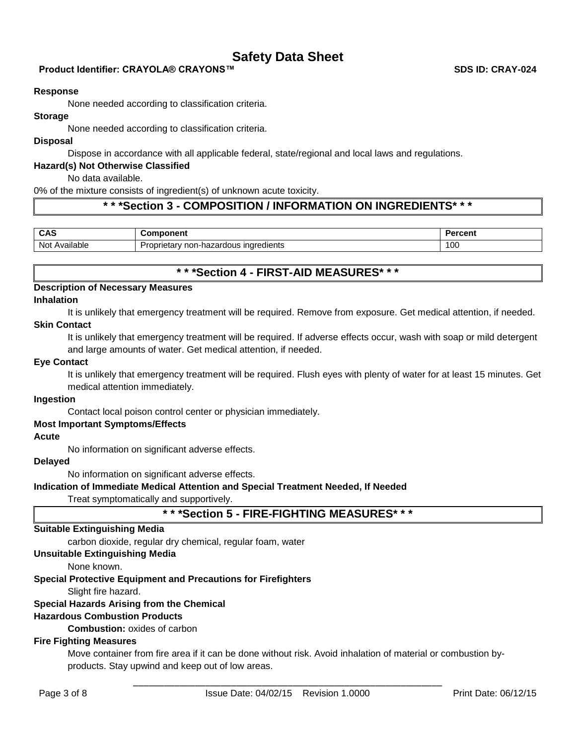## **Product Identifier: CRAYOLA® CRAYONS™ SDS ID: CRAY-024 SDS ID: CRAY-024**

#### **Response**

None needed according to classification criteria.

# **Storage**

None needed according to classification criteria.

#### **Disposal**

Dispose in accordance with all applicable federal, state/regional and local laws and regulations.

#### **Hazard(s) Not Otherwise Classified**

No data available.

0% of the mixture consists of ingredient(s) of unknown acute toxicity.

## **\* \* \*Section 3 - COMPOSITION / INFORMATION ON INGREDIENTS\* \* \***

| <b>CAS</b>           | неш                                                              | -------<br>GП |
|----------------------|------------------------------------------------------------------|---------------|
| <br>Not<br>\vailable | .<br>ingredients<br>பிட்<br>rietarv<br>∴non-hazardous '<br>. IDE | 100           |

# **\* \* \*Section 4 - FIRST-AID MEASURES\* \* \***

# **Description of Necessary Measures**

## **Inhalation**

It is unlikely that emergency treatment will be required. Remove from exposure. Get medical attention, if needed.

### **Skin Contact**

It is unlikely that emergency treatment will be required. If adverse effects occur, wash with soap or mild detergent and large amounts of water. Get medical attention, if needed.

#### **Eye Contact**

It is unlikely that emergency treatment will be required. Flush eyes with plenty of water for at least 15 minutes. Get medical attention immediately.

### **Ingestion**

Contact local poison control center or physician immediately.

### **Most Important Symptoms/Effects**

### **Acute**

No information on significant adverse effects.

### **Delayed**

No information on significant adverse effects.

### **Indication of Immediate Medical Attention and Special Treatment Needed, If Needed**

Treat symptomatically and supportively.

# **\* \* \*Section 5 - FIRE-FIGHTING MEASURES\* \* \***

### **Suitable Extinguishing Media**

carbon dioxide, regular dry chemical, regular foam, water

# **Unsuitable Extinguishing Media**

None known.

# **Special Protective Equipment and Precautions for Firefighters**

Slight fire hazard.

# **Special Hazards Arising from the Chemical**

# **Hazardous Combustion Products**

**Combustion:** oxides of carbon

# **Fire Fighting Measures**

Move container from fire area if it can be done without risk. Avoid inhalation of material or combustion byproducts. Stay upwind and keep out of low areas.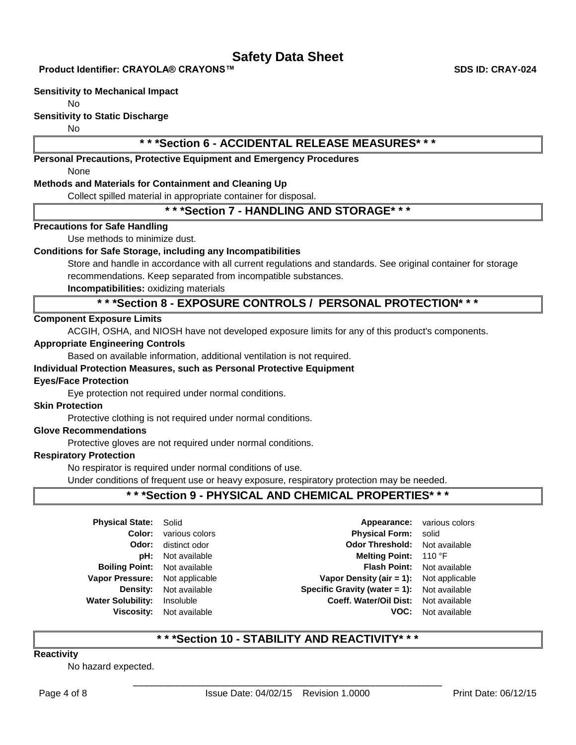**Product Identifier: CRAYOLA® CRAYONS™ SDS ID: CRAY-024**

#### **Sensitivity to Mechanical Impact**

No

### **Sensitivity to Static Discharge**

No

# **\* \* \*Section 6 - ACCIDENTAL RELEASE MEASURES\* \* \***

**Personal Precautions, Protective Equipment and Emergency Procedures**

None

### **Methods and Materials for Containment and Cleaning Up**

Collect spilled material in appropriate container for disposal.

# **\* \* \*Section 7 - HANDLING AND STORAGE\* \* \***

### **Precautions for Safe Handling**

Use methods to minimize dust.

## **Conditions for Safe Storage, including any Incompatibilities**

Store and handle in accordance with all current regulations and standards. See original container for storage recommendations. Keep separated from incompatible substances.

**Incompatibilities:** oxidizing materials

# **\* \* \*Section 8 - EXPOSURE CONTROLS / PERSONAL PROTECTION\* \* \***

### **Component Exposure Limits**

ACGIH, OSHA, and NIOSH have not developed exposure limits for any of this product's components.

### **Appropriate Engineering Controls**

Based on available information, additional ventilation is not required.

### **Individual Protection Measures, such as Personal Protective Equipment**

### **Eyes/Face Protection**

Eye protection not required under normal conditions.

### **Skin Protection**

Protective clothing is not required under normal conditions.

## **Glove Recommendations**

Protective gloves are not required under normal conditions.

### **Respiratory Protection**

No respirator is required under normal conditions of use.

Under conditions of frequent use or heavy exposure, respiratory protection may be needed.

# **\* \* \*Section 9 - PHYSICAL AND CHEMICAL PROPERTIES\* \* \***

| <b>Physical State: Solid</b><br>Color:<br>Odor:                  | various colors<br>distinct odor             | <b>Physical Form:</b> solid<br><b>Odor Threshold:</b> Not available                                | <b>Appearance:</b> various colors |
|------------------------------------------------------------------|---------------------------------------------|----------------------------------------------------------------------------------------------------|-----------------------------------|
| pH:<br><b>Boiling Point:</b> Not available                       | Not available                               | Melting Point: 110 °F                                                                              | Flash Point: Not available        |
| Vapor Pressure: Not applicable                                   |                                             | <b>Vapor Density (air = 1):</b> Not applicable                                                     |                                   |
| <b>Density:</b><br><b>Water Solubility:</b><br><b>Viscosity:</b> | Not available<br>Insoluble<br>Not available | <b>Specific Gravity (water = 1):</b> Not available<br>Coeff. Water/Oil Dist: Not available<br>VOC: | Not available                     |

# **\* \* \*Section 10 - STABILITY AND REACTIVITY\* \* \***

### **Reactivity**

No hazard expected.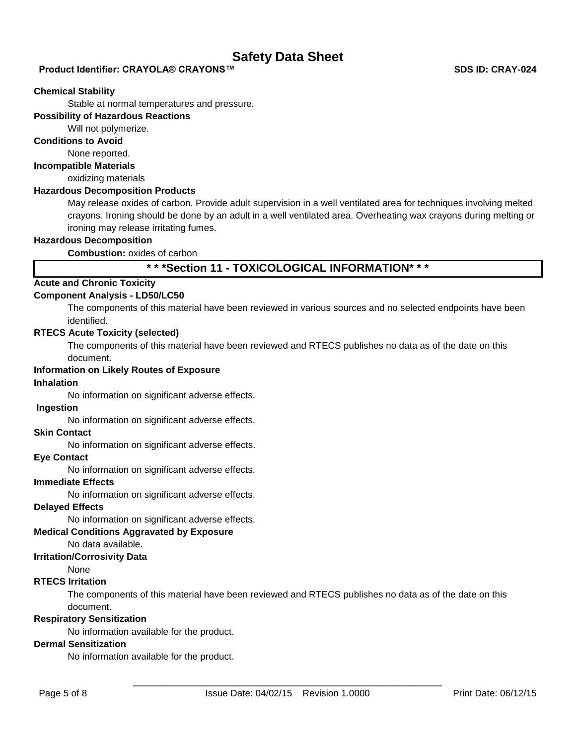## **Product Identifier: CRAYOLA® CRAYONS™ SDS ID: CRAY-024**

#### **Chemical Stability**

Stable at normal temperatures and pressure.

### **Possibility of Hazardous Reactions**

Will not polymerize.

### **Conditions to Avoid**

None reported.

#### **Incompatible Materials**

oxidizing materials

### **Hazardous Decomposition Products**

May release oxides of carbon. Provide adult supervision in a well ventilated area for techniques involving melted crayons. Ironing should be done by an adult in a well ventilated area. Overheating wax crayons during melting or ironing may release irritating fumes.

### **Hazardous Decomposition**

**Combustion:** oxides of carbon

# **\* \* \*Section 11 - TOXICOLOGICAL INFORMATION\* \* \***

### **Acute and Chronic Toxicity**

### **Component Analysis - LD50/LC50**

The components of this material have been reviewed in various sources and no selected endpoints have been identified.

#### **RTECS Acute Toxicity (selected)**

The components of this material have been reviewed and RTECS publishes no data as of the date on this document.

### **Information on Likely Routes of Exposure**

### **Inhalation**

No information on significant adverse effects.

### **Ingestion**

No information on significant adverse effects.

### **Skin Contact**

No information on significant adverse effects.

# **Eye Contact**

No information on significant adverse effects.

#### **Immediate Effects**

No information on significant adverse effects.

#### **Delayed Effects**

No information on significant adverse effects.

#### **Medical Conditions Aggravated by Exposure**

No data available.

### **Irritation/Corrosivity Data**

None

### **RTECS Irritation**

The components of this material have been reviewed and RTECS publishes no data as of the date on this document.

#### **Respiratory Sensitization**

No information available for the product.

### **Dermal Sensitization**

No information available for the product.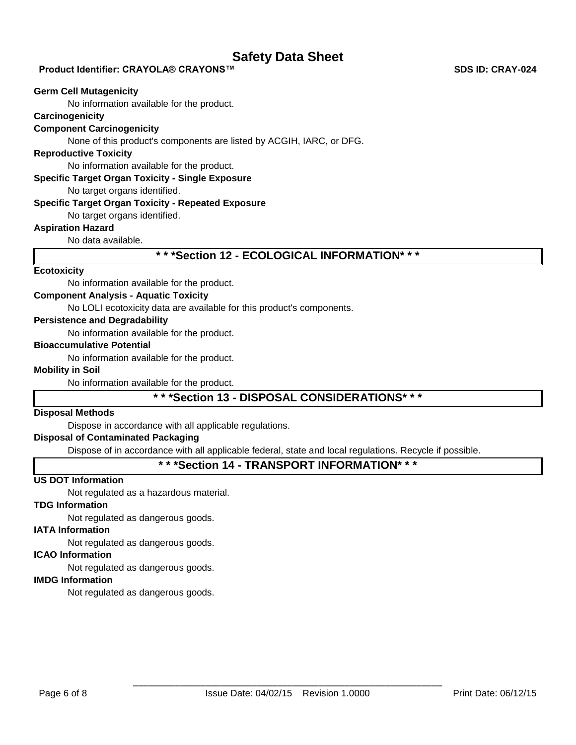### **Product Identifier: CRAYOLA® CRAYONS™ SDS ID: CRAY-024**

#### **Germ Cell Mutagenicity**

No information available for the product.

## **Carcinogenicity**

### **Component Carcinogenicity**

None of this product's components are listed by ACGIH, IARC, or DFG.

### **Reproductive Toxicity**

No information available for the product.

#### **Specific Target Organ Toxicity - Single Exposure**

No target organs identified.

#### **Specific Target Organ Toxicity - Repeated Exposure**

No target organs identified.

# **Aspiration Hazard**

No data available.

# **\* \* \*Section 12 - ECOLOGICAL INFORMATION\* \* \***

### **Ecotoxicity**

No information available for the product.

#### **Component Analysis - Aquatic Toxicity**

No LOLI ecotoxicity data are available for this product's components.

### **Persistence and Degradability**

No information available for the product.

### **Bioaccumulative Potential**

No information available for the product.

### **Mobility in Soil**

No information available for the product.

# **\* \* \*Section 13 - DISPOSAL CONSIDERATIONS\* \* \***

## **Disposal Methods**

Dispose in accordance with all applicable regulations.

### **Disposal of Contaminated Packaging**

Dispose of in accordance with all applicable federal, state and local regulations. Recycle if possible.

# **\* \* \*Section 14 - TRANSPORT INFORMATION\* \* \***

## **US DOT Information**

Not regulated as a hazardous material.

### **TDG Information**

Not regulated as dangerous goods.

### **IATA Information**

Not regulated as dangerous goods.

## **ICAO Information**

Not regulated as dangerous goods.

# **IMDG Information**

Not regulated as dangerous goods.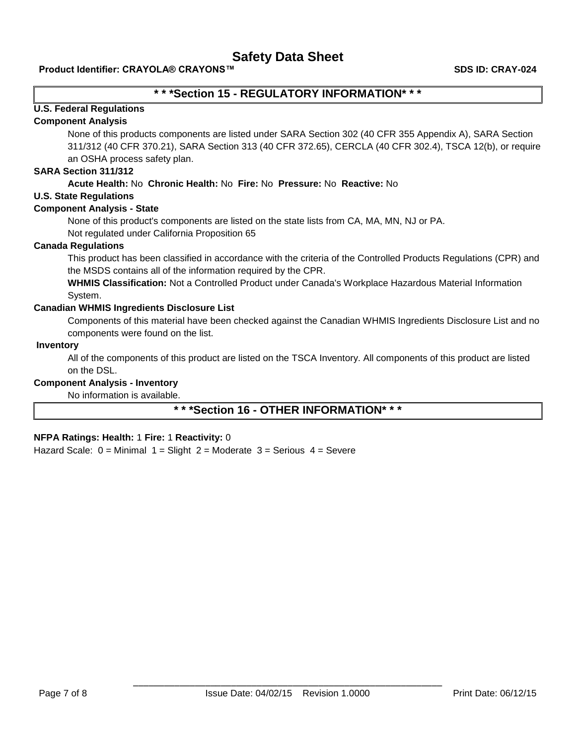# **\* \* \*Section 15 - REGULATORY INFORMATION\* \* \***

# **U.S. Federal Regulations**

#### **Component Analysis**

None of this products components are listed under SARA Section 302 (40 CFR 355 Appendix A), SARA Section 311/312 (40 CFR 370.21), SARA Section 313 (40 CFR 372.65), CERCLA (40 CFR 302.4), TSCA 12(b), or require an OSHA process safety plan.

# **SARA Section 311/312**

### **Acute Health:** No **Chronic Health:** No **Fire:** No **Pressure:** No **Reactive:** No

## **U.S. State Regulations**

### **Component Analysis - State**

None of this product's components are listed on the state lists from CA, MA, MN, NJ or PA.

Not regulated under California Proposition 65

### **Canada Regulations**

This product has been classified in accordance with the criteria of the Controlled Products Regulations (CPR) and the MSDS contains all of the information required by the CPR.

**WHMIS Classification:** Not a Controlled Product under Canada's Workplace Hazardous Material Information System.

### **Canadian WHMIS Ingredients Disclosure List**

Components of this material have been checked against the Canadian WHMIS Ingredients Disclosure List and no components were found on the list.

#### **Inventory**

All of the components of this product are listed on the TSCA Inventory. All components of this product are listed on the DSL.

### **Component Analysis - Inventory**

No information is available.

# **\* \* \*Section 16 - OTHER INFORMATION\* \* \***

### **NFPA Ratings: Health:** 1 **Fire:** 1 **Reactivity:** 0

Hazard Scale:  $0 =$  Minimal  $1 =$  Slight  $2 =$  Moderate  $3 =$  Serious  $4 =$  Severe